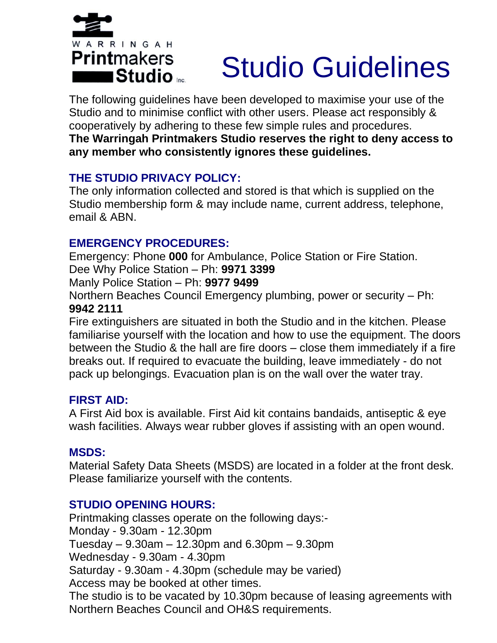

# Studio Guidelines

The following guidelines have been developed to maximise your use of the Studio and to minimise conflict with other users. Please act responsibly & cooperatively by adhering to these few simple rules and procedures. **The Warringah Printmakers Studio reserves the right to deny access to any member who consistently ignores these guidelines.**

#### **THE STUDIO PRIVACY POLICY:**

The only information collected and stored is that which is supplied on the Studio membership form & may include name, current address, telephone, email & ABN.

#### **EMERGENCY PROCEDURES:**

Emergency: Phone **000** for Ambulance, Police Station or Fire Station. Dee Why Police Station – Ph: **9971 3399**

Manly Police Station – Ph: **9977 9499**

Northern Beaches Council Emergency plumbing, power or security – Ph: **9942 2111**

Fire extinguishers are situated in both the Studio and in the kitchen. Please familiarise yourself with the location and how to use the equipment. The doors between the Studio & the hall are fire doors – close them immediately if a fire breaks out. If required to evacuate the building, leave immediately - do not pack up belongings. Evacuation plan is on the wall over the water tray.

#### **FIRST AID:**

A First Aid box is available. First Aid kit contains bandaids, antiseptic & eye wash facilities. Always wear rubber gloves if assisting with an open wound.

#### **MSDS:**

Material Safety Data Sheets (MSDS) are located in a folder at the front desk. Please familiarize yourself with the contents.

#### **STUDIO OPENING HOURS:**

Printmaking classes operate on the following days:- Monday - 9.30am - 12.30pm Tuesday – 9.30am – 12.30pm and 6.30pm – 9.30pm Wednesday - 9.30am - 4.30pm Saturday - 9.30am - 4.30pm (schedule may be varied) Access may be booked at other times. The studio is to be vacated by 10.30pm because of leasing agreements with Northern Beaches Council and OH&S requirements.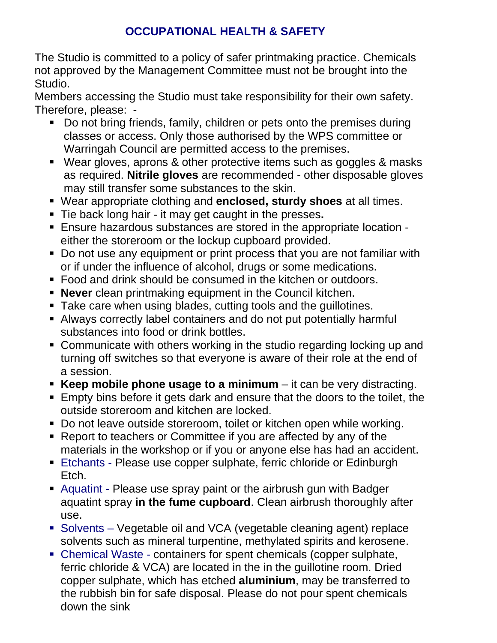# **OCCUPATIONAL HEALTH & SAFETY**

The Studio is committed to a policy of safer printmaking practice. Chemicals not approved by the Management Committee must not be brought into the Studio.

Members accessing the Studio must take responsibility for their own safety. Therefore, please: -

- Do not bring friends, family, children or pets onto the premises during classes or access. Only those authorised by the WPS committee or Warringah Council are permitted access to the premises.
- Wear gloves, aprons & other protective items such as goggles & masks as required. **Nitrile gloves** are recommended - other disposable gloves may still transfer some substances to the skin.
- Wear appropriate clothing and **enclosed, sturdy shoes** at all times.
- Tie back long hair it may get caught in the presses**.**
- Ensure hazardous substances are stored in the appropriate location either the storeroom or the lockup cupboard provided.
- Do not use any equipment or print process that you are not familiar with or if under the influence of alcohol, drugs or some medications.
- Food and drink should be consumed in the kitchen or outdoors.
- **EXEX PEREFERITH IN PROTE:** Never clean printmaking equipment in the Council kitchen.
- Take care when using blades, cutting tools and the guillotines.
- Always correctly label containers and do not put potentially harmful substances into food or drink bottles.
- Communicate with others working in the studio regarding locking up and turning off switches so that everyone is aware of their role at the end of a session.
- **Keep mobile phone usage to a minimum** it can be very distracting.
- **Empty bins before it gets dark and ensure that the doors to the toilet, the** outside storeroom and kitchen are locked.
- Do not leave outside storeroom, toilet or kitchen open while working.
- Report to teachers or Committee if you are affected by any of the materials in the workshop or if you or anyone else has had an accident.
- Etchants Please use copper sulphate, ferric chloride or Edinburgh Etch.
- Aquatint Please use spray paint or the airbrush gun with Badger aquatint spray **in the fume cupboard**. Clean airbrush thoroughly after use.
- Solvents Vegetable oil and VCA (vegetable cleaning agent) replace solvents such as mineral turpentine, methylated spirits and kerosene.
- Chemical Waste containers for spent chemicals (copper sulphate, ferric chloride & VCA) are located in the in the guillotine room. Dried copper sulphate, which has etched **aluminium**, may be transferred to the rubbish bin for safe disposal. Please do not pour spent chemicals down the sink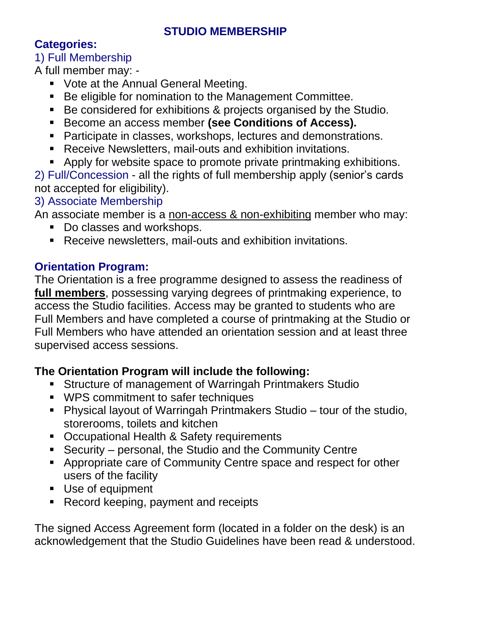#### **STUDIO MEMBERSHIP**

### **Categories:**

1) Full Membership A full member may: -

- Vote at the Annual General Meeting.
- Be eligible for nomination to the Management Committee.
- Be considered for exhibitions & projects organised by the Studio.
- Become an access member **(see Conditions of Access).**
- Participate in classes, workshops, lectures and demonstrations.
- Receive Newsletters, mail-outs and exhibition invitations.
- Apply for website space to promote private printmaking exhibitions.

2) Full/Concession - all the rights of full membership apply (senior's cards not accepted for eligibility).

### 3) Associate Membership

An associate member is a non-access & non-exhibiting member who may:

- Do classes and workshops.
- Receive newsletters, mail-outs and exhibition invitations.

# **Orientation Program:**

The Orientation is a free programme designed to assess the readiness of **full members**, possessing varying degrees of printmaking experience, to access the Studio facilities. Access may be granted to students who are Full Members and have completed a course of printmaking at the Studio or Full Members who have attended an orientation session and at least three supervised access sessions.

# **The Orientation Program will include the following:**

- **EXECT** Structure of management of Warringah Printmakers Studio
- WPS commitment to safer techniques
- Physical layout of Warringah Printmakers Studio tour of the studio, storerooms, toilets and kitchen
- Occupational Health & Safety requirements
- Security personal, the Studio and the Community Centre
- Appropriate care of Community Centre space and respect for other users of the facility
- Use of equipment
- Record keeping, payment and receipts

The signed Access Agreement form (located in a folder on the desk) is an acknowledgement that the Studio Guidelines have been read & understood.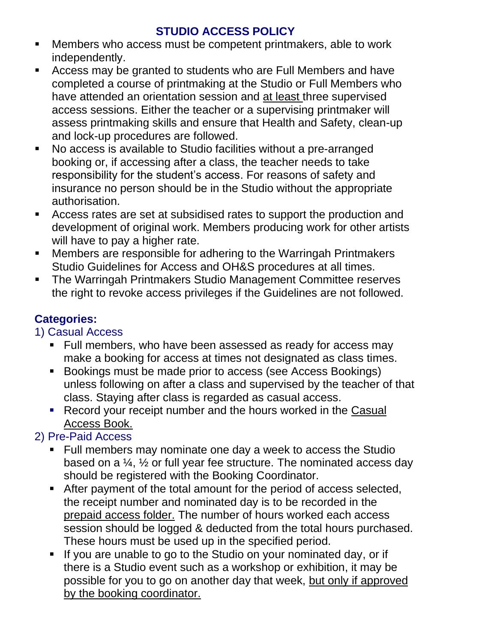# **STUDIO ACCESS POLICY**

- Members who access must be competent printmakers, able to work independently.
- Access may be granted to students who are Full Members and have completed a course of printmaking at the Studio or Full Members who have attended an orientation session and at least three supervised access sessions. Either the teacher or a supervising printmaker will assess printmaking skills and ensure that Health and Safety, clean-up and lock-up procedures are followed.
- No access is available to Studio facilities without a pre-arranged booking or, if accessing after a class, the teacher needs to take responsibility for the student's access. For reasons of safety and insurance no person should be in the Studio without the appropriate authorisation.
- Access rates are set at subsidised rates to support the production and development of original work. Members producing work for other artists will have to pay a higher rate.
- Members are responsible for adhering to the Warringah Printmakers Studio Guidelines for Access and OH&S procedures at all times.
- The Warringah Printmakers Studio Management Committee reserves the right to revoke access privileges if the Guidelines are not followed.

# **Categories:**

1) Casual Access

- Full members, who have been assessed as ready for access may make a booking for access at times not designated as class times.
- Bookings must be made prior to access (see Access Bookings) unless following on after a class and supervised by the teacher of that class. Staying after class is regarded as casual access.
- Record your receipt number and the hours worked in the Casual Access Book.

# 2) Pre-Paid Access

- Full members may nominate one day a week to access the Studio based on a ¼, ½ or full year fee structure. The nominated access day should be registered with the Booking Coordinator.
- After payment of the total amount for the period of access selected, the receipt number and nominated day is to be recorded in the prepaid access folder. The number of hours worked each access session should be logged & deducted from the total hours purchased. These hours must be used up in the specified period.
- If you are unable to go to the Studio on your nominated day, or if there is a Studio event such as a workshop or exhibition, it may be possible for you to go on another day that week, but only if approved by the booking coordinator.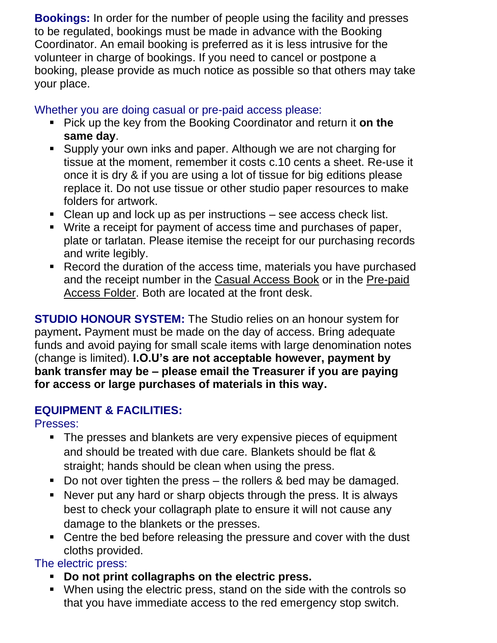**Bookings:** In order for the number of people using the facility and presses to be regulated, bookings must be made in advance with the Booking Coordinator. An email booking is preferred as it is less intrusive for the volunteer in charge of bookings. If you need to cancel or postpone a booking, please provide as much notice as possible so that others may take your place.

#### Whether you are doing casual or pre-paid access please:

- Pick up the key from the Booking Coordinator and return it **on the same day**.
- Supply your own inks and paper. Although we are not charging for tissue at the moment, remember it costs c.10 cents a sheet. Re-use it once it is dry & if you are using a lot of tissue for big editions please replace it. Do not use tissue or other studio paper resources to make folders for artwork.
- Clean up and lock up as per instructions see access check list.
- Write a receipt for payment of access time and purchases of paper, plate or tarlatan. Please itemise the receipt for our purchasing records and write legibly.
- Record the duration of the access time, materials you have purchased and the receipt number in the Casual Access Book or in the Pre-paid Access Folder. Both are located at the front desk.

**STUDIO HONOUR SYSTEM:** The Studio relies on an honour system for payment**.** Payment must be made on the day of access. Bring adequate funds and avoid paying for small scale items with large denomination notes (change is limited). **I.O.U's are not acceptable however, payment by bank transfer may be – please email the Treasurer if you are paying for access or large purchases of materials in this way.**

#### **EQUIPMENT & FACILITIES:**

Presses:

- The presses and blankets are very expensive pieces of equipment and should be treated with due care. Blankets should be flat & straight; hands should be clean when using the press.
- Do not over tighten the press the rollers & bed may be damaged.
- Never put any hard or sharp objects through the press. It is always best to check your collagraph plate to ensure it will not cause any damage to the blankets or the presses.
- Centre the bed before releasing the pressure and cover with the dust cloths provided.

The electric press:

- **Do not print collagraphs on the electric press.**
- When using the electric press, stand on the side with the controls so that you have immediate access to the red emergency stop switch.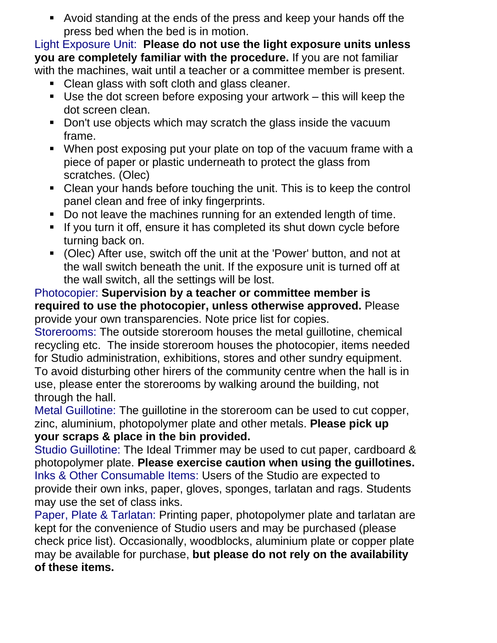▪ Avoid standing at the ends of the press and keep your hands off the press bed when the bed is in motion.

Light Exposure Unit: **Please do not use the light exposure units unless you are completely familiar with the procedure.** If you are not familiar with the machines, wait until a teacher or a committee member is present.

- Clean glass with soft cloth and glass cleaner.
- $\blacksquare$  Use the dot screen before exposing your artwork this will keep the dot screen clean.
- Don't use objects which may scratch the glass inside the vacuum frame.
- When post exposing put your plate on top of the vacuum frame with a piece of paper or plastic underneath to protect the glass from scratches. (Olec)
- Clean your hands before touching the unit. This is to keep the control panel clean and free of inky fingerprints.
- Do not leave the machines running for an extended length of time.
- **.** If you turn it off, ensure it has completed its shut down cycle before turning back on.
- (Olec) After use, switch off the unit at the 'Power' button, and not at the wall switch beneath the unit. If the exposure unit is turned off at the wall switch, all the settings will be lost.

#### Photocopier: **Supervision by a teacher or committee member is required to use the photocopier, unless otherwise approved.** Please provide your own transparencies. Note price list for copies.

Storerooms: The outside storeroom houses the metal guillotine, chemical recycling etc. The inside storeroom houses the photocopier, items needed for Studio administration, exhibitions, stores and other sundry equipment. To avoid disturbing other hirers of the community centre when the hall is in use, please enter the storerooms by walking around the building, not through the hall.

Metal Guillotine: The guillotine in the storeroom can be used to cut copper, zinc, aluminium, photopolymer plate and other metals. **Please pick up your scraps & place in the bin provided.** 

Studio Guillotine: The Ideal Trimmer may be used to cut paper, cardboard & photopolymer plate. **Please exercise caution when using the guillotines.** Inks & Other Consumable Items: Users of the Studio are expected to provide their own inks, paper, gloves, sponges, tarlatan and rags. Students may use the set of class inks.

Paper, Plate & Tarlatan: Printing paper, photopolymer plate and tarlatan are kept for the convenience of Studio users and may be purchased (please check price list). Occasionally, woodblocks, aluminium plate or copper plate may be available for purchase, **but please do not rely on the availability of these items.**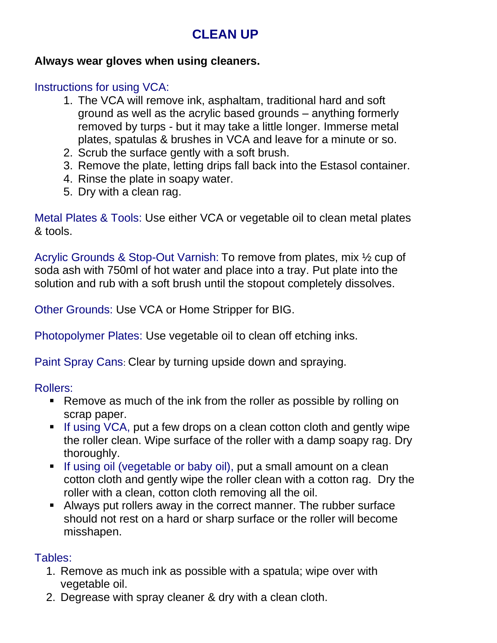# **CLEAN UP**

### **Always wear gloves when using cleaners.**

# Instructions for using VCA:

- 1. The VCA will remove ink, asphaltam, traditional hard and soft ground as well as the acrylic based grounds – anything formerly removed by turps - but it may take a little longer. Immerse metal plates, spatulas & brushes in VCA and leave for a minute or so.
- 2. Scrub the surface gently with a soft brush.
- 3. Remove the plate, letting drips fall back into the Estasol container.
- 4. Rinse the plate in soapy water.
- 5. Dry with a clean rag.

Metal Plates & Tools: Use either VCA or vegetable oil to clean metal plates & tools.

Acrylic Grounds & Stop-Out Varnish: To remove from plates, mix ½ cup of soda ash with 750ml of hot water and place into a tray. Put plate into the solution and rub with a soft brush until the stopout completely dissolves.

Other Grounds: Use VCA or Home Stripper for BIG.

Photopolymer Plates: Use vegetable oil to clean off etching inks.

Paint Spray Cans: Clear by turning upside down and spraying.

Rollers:

- Remove as much of the ink from the roller as possible by rolling on scrap paper.
- **.** If using VCA, put a few drops on a clean cotton cloth and gently wipe the roller clean. Wipe surface of the roller with a damp soapy rag. Dry thoroughly.
- **EXTE:** If using oil (vegetable or baby oil), put a small amount on a clean cotton cloth and gently wipe the roller clean with a cotton rag. Dry the roller with a clean, cotton cloth removing all the oil.
- **EXED Always put rollers away in the correct manner. The rubber surface** should not rest on a hard or sharp surface or the roller will become misshapen.

#### Tables:

- 1. Remove as much ink as possible with a spatula; wipe over with vegetable oil.
- 2. Degrease with spray cleaner & dry with a clean cloth.